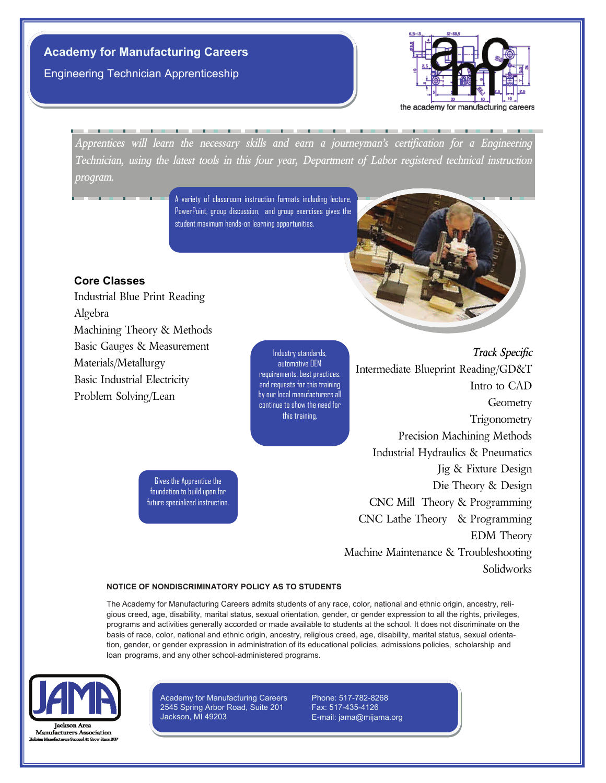**Academy for Manufacturing Careers** 

Engineering Technician Apprenticeship



the academy for manufacturing careers

*Apprentices will learn the necessary skills and earn a journeyman's certification for a Engineering Technician, using the latest tools in this four year, Department of Labor registered technical instruction program.*

> A variety of classroom instruction formats including lecture, PowerPoint, group discussion, and group exercises gives the student maximum hands-on learning opportunities.

#### **Core Classes**

Industrial Blue Print Reading Algebra Machining Theory & Methods Basic Gauges & Measurement Materials/Metallurgy Basic Industrial Electricity Problem Solving/Lean

Industry standards, automotive OEM requirements, best practices, and requests for this training by our local manufacturers all continue to show the need for this training.

*Track Specific* Intermediate Blueprint Reading/GD&T Intro to CAD Geometry Trigonometry Precision Machining Methods Industrial Hydraulics & Pneumatics Jig & Fixture Design Die Theory & Design CNC Mill Theory & Programming CNC Lathe Theory & Programming EDM Theory Machine Maintenance & Troubleshooting Solidworks

#### **NOTICE OF NONDISCRIMINATORY POLICY AS TO STUDENTS**

Gives the Apprentice the foundation to build upon for future specialized instruction.

The Academy for Manufacturing Careers admits students of any race, color, national and ethnic origin, ancestry, religious creed, age, disability, marital status, sexual orientation, gender, or gender expression to all the rights, privileges, programs and activities generally accorded or made available to students at the school. It does not discriminate on the basis of race, color, national and ethnic origin, ancestry, religious creed, age, disability, marital status, sexual orientation, gender, or gender expression in administration of its educational policies, admissions policies, scholarship and loan programs, and any other school-administered programs.



Academy for Manufacturing Careers 2545 Spring Arbor Road, Suite 201 Jackson, MI 49203

Phone: 517-782-8268 Fax: 517-435-4126 E-mail: jama@mijama.org